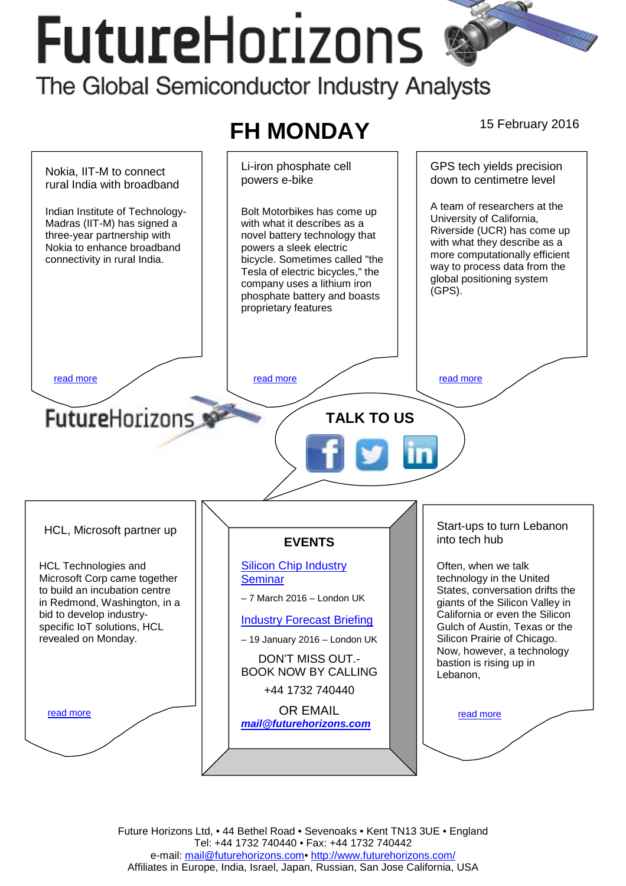# **FutureHorizons** The Global Semiconductor Industry Analysts



Future Horizons Ltd, • 44 Bethel Road • Sevenoaks • Kent TN13 3UE • England Tel: +44 1732 740440 • Fax: +44 1732 740442 e-mail: mail@futurehorizons.com• http://www.futurehorizons.com/ Affiliates in Europe, India, Israel, Japan, Russian, San Jose California, USA